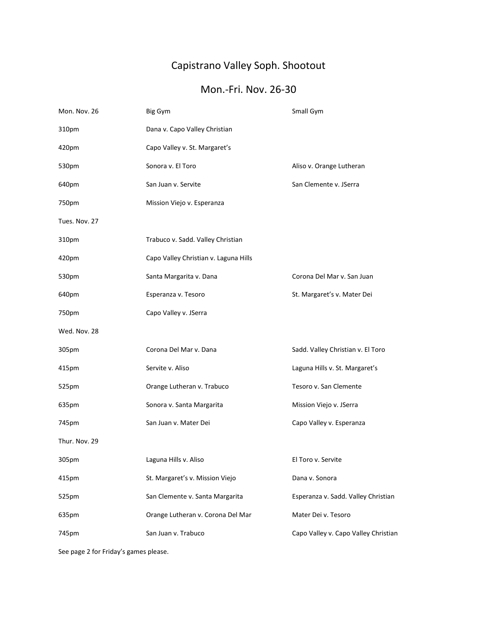## Capistrano Valley Soph. Shootout

## Mon.-Fri. Nov. 26-30

| Mon. Nov. 26  | Big Gym                               | Small Gym                            |
|---------------|---------------------------------------|--------------------------------------|
| 310pm         | Dana v. Capo Valley Christian         |                                      |
| 420pm         | Capo Valley v. St. Margaret's         |                                      |
| 530pm         | Sonora v. El Toro                     | Aliso v. Orange Lutheran             |
| 640pm         | San Juan v. Servite                   | San Clemente v. JSerra               |
| 750pm         | Mission Viejo v. Esperanza            |                                      |
| Tues. Nov. 27 |                                       |                                      |
| 310pm         | Trabuco v. Sadd. Valley Christian     |                                      |
| 420pm         | Capo Valley Christian v. Laguna Hills |                                      |
| 530pm         | Santa Margarita v. Dana               | Corona Del Mar v. San Juan           |
| 640pm         | Esperanza v. Tesoro                   | St. Margaret's v. Mater Dei          |
| 750pm         | Capo Valley v. JSerra                 |                                      |
| Wed. Nov. 28  |                                       |                                      |
| 305pm         | Corona Del Mar v. Dana                | Sadd. Valley Christian v. El Toro    |
| 415pm         | Servite v. Aliso                      | Laguna Hills v. St. Margaret's       |
| 525pm         | Orange Lutheran v. Trabuco            | Tesoro v. San Clemente               |
| 635pm         | Sonora v. Santa Margarita             | Mission Viejo v. JSerra              |
| 745pm         | San Juan v. Mater Dei                 | Capo Valley v. Esperanza             |
| Thur. Nov. 29 |                                       |                                      |
| 305pm         | Laguna Hills v. Aliso                 | El Toro v. Servite                   |
| 415pm         | St. Margaret's v. Mission Viejo       | Dana v. Sonora                       |
| 525pm         | San Clemente v. Santa Margarita       | Esperanza v. Sadd. Valley Christian  |
| 635pm         | Orange Lutheran v. Corona Del Mar     | Mater Dei v. Tesoro                  |
| 745pm         | San Juan v. Trabuco                   | Capo Valley v. Capo Valley Christian |
|               |                                       |                                      |

See page 2 for Friday's games please.